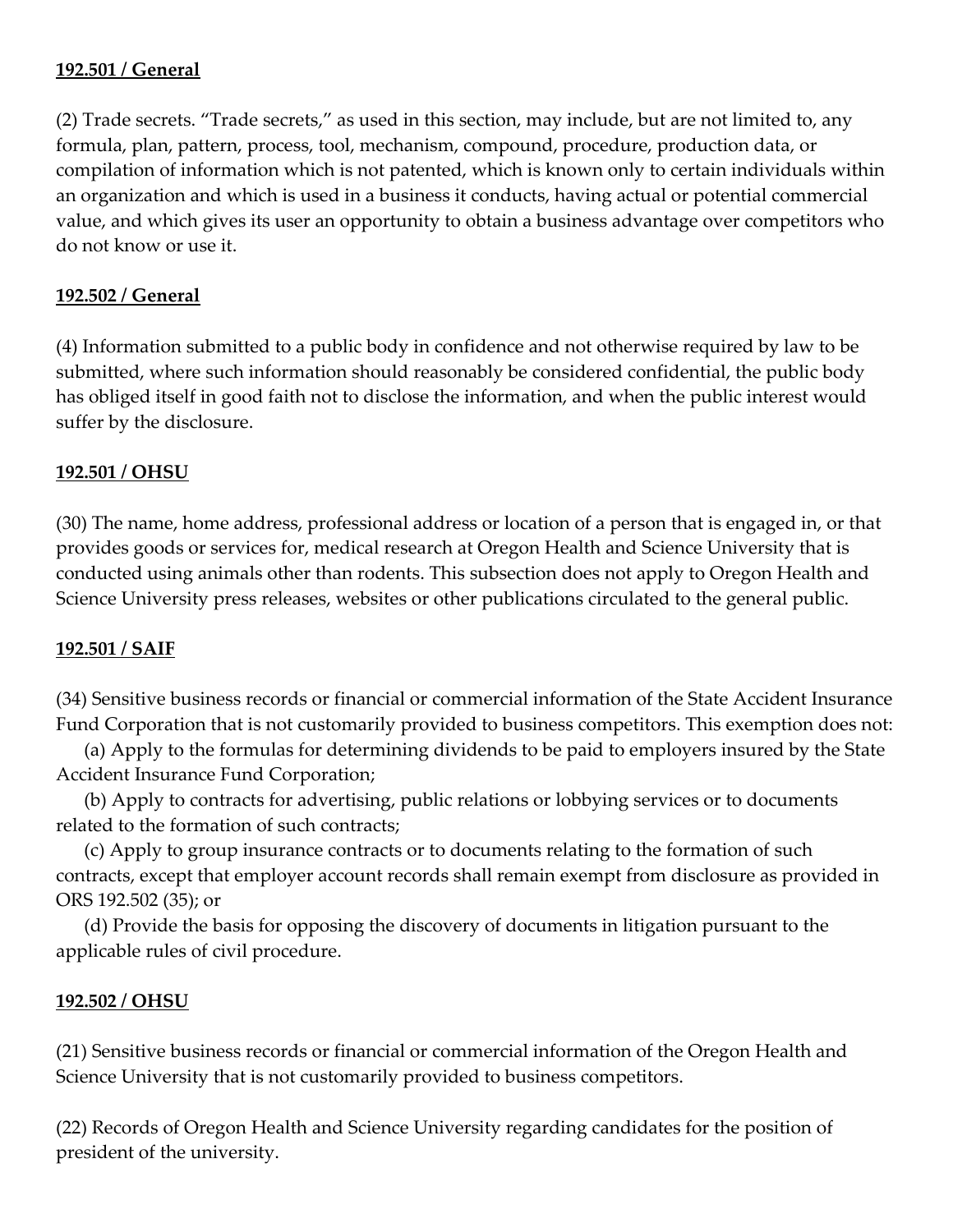# **192.501 / General**

(2) Trade secrets. "Trade secrets," as used in this section, may include, but are not limited to, any formula, plan, pattern, process, tool, mechanism, compound, procedure, production data, or compilation of information which is not patented, which is known only to certain individuals within an organization and which is used in a business it conducts, having actual or potential commercial value, and which gives its user an opportunity to obtain a business advantage over competitors who do not know or use it.

# **192.502 / General**

(4) Information submitted to a public body in confidence and not otherwise required by law to be submitted, where such information should reasonably be considered confidential, the public body has obliged itself in good faith not to disclose the information, and when the public interest would suffer by the disclosure.

## **192.501 / OHSU**

(30) The name, home address, professional address or location of a person that is engaged in, or that provides goods or services for, medical research at Oregon Health and Science University that is conducted using animals other than rodents. This subsection does not apply to Oregon Health and Science University press releases, websites or other publications circulated to the general public.

### **192.501 / SAIF**

(34) Sensitive business records or financial or commercial information of the State Accident Insurance Fund Corporation that is not customarily provided to business competitors. This exemption does not:

 (a) Apply to the formulas for determining dividends to be paid to employers insured by the State Accident Insurance Fund Corporation;

 (b) Apply to contracts for advertising, public relations or lobbying services or to documents related to the formation of such contracts;

 (c) Apply to group insurance contracts or to documents relating to the formation of such contracts, except that employer account records shall remain exempt from disclosure as provided in ORS 192.502 (35); or

 (d) Provide the basis for opposing the discovery of documents in litigation pursuant to the applicable rules of civil procedure.

### **192.502 / OHSU**

(21) Sensitive business records or financial or commercial information of the Oregon Health and Science University that is not customarily provided to business competitors.

(22) Records of Oregon Health and Science University regarding candidates for the position of president of the university.